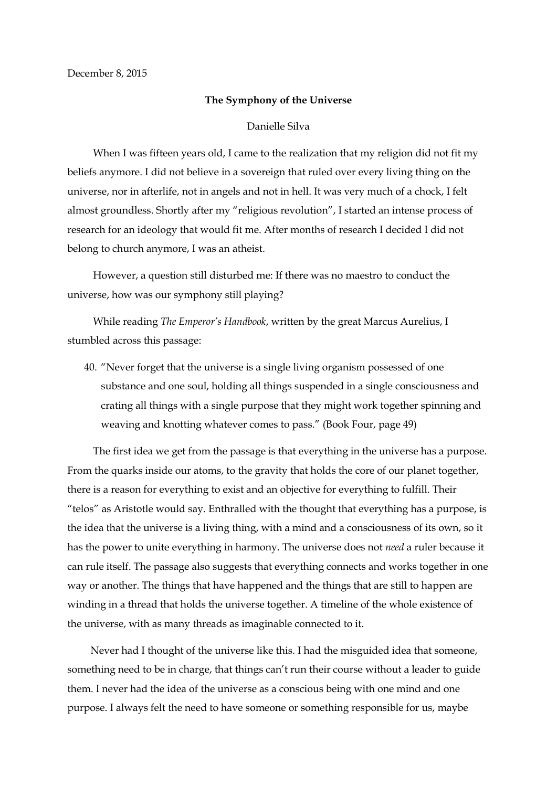## **The Symphony of the Universe**

## Danielle Silva

 When I was fifteen years old, I came to the realization that my religion did not fit my beliefs anymore. I did not believe in a sovereign that ruled over every living thing on the universe, nor in afterlife, not in angels and not in hell. It was very much of a chock, I felt almost groundless. Shortly after my "religious revolution", I started an intense process of research for an ideology that would fit me. After months of research I decided I did not belong to church anymore, I was an atheist.

 However, a question still disturbed me: If there was no maestro to conduct the universe, how was our symphony still playing?

 While reading *The Emperor's Handbook*, written by the great Marcus Aurelius, I stumbled across this passage:

40. "Never forget that the universe is a single living organism possessed of one substance and one soul, holding all things suspended in a single consciousness and crating all things with a single purpose that they might work together spinning and weaving and knotting whatever comes to pass." (Book Four, page 49)

 The first idea we get from the passage is that everything in the universe has a purpose. From the quarks inside our atoms, to the gravity that holds the core of our planet together, there is a reason for everything to exist and an objective for everything to fulfill. Their "telos" as Aristotle would say. Enthralled with the thought that everything has a purpose, is the idea that the universe is a living thing, with a mind and a consciousness of its own, so it has the power to unite everything in harmony. The universe does not *need* a ruler because it can rule itself. The passage also suggests that everything connects and works together in one way or another. The things that have happened and the things that are still to happen are winding in a thread that holds the universe together. A timeline of the whole existence of the universe, with as many threads as imaginable connected to it.

 Never had I thought of the universe like this. I had the misguided idea that someone, something need to be in charge, that things can't run their course without a leader to guide them. I never had the idea of the universe as a conscious being with one mind and one purpose. I always felt the need to have someone or something responsible for us, maybe